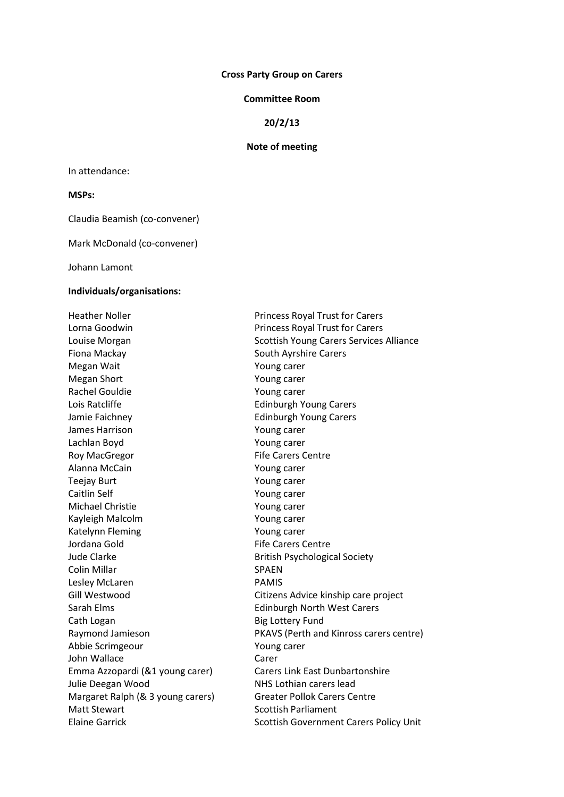#### **Cross Party Group on Carers**

## **Committee Room**

# **20/2/13**

### **Note of meeting**

In attendance:

## **MSPs:**

Claudia Beamish (co-convener)

Mark McDonald (co-convener)

Johann Lamont

### **Individuals/organisations:**

Lorna Goodwin **Princess Royal Trust for Carers** Fiona Mackay **South Ayrshire Carers** South Ayrshire Carers Megan Wait **Young carer** Megan Short Young carer Rachel Gouldie The Town of The Young carer Lois Ratcliffe **Edinburgh Young Carers** Jamie Faichney **Edinburgh Young Carers** James Harrison Young carer Lachlan Boyd Young carer Roy MacGregor **Fife Carers Centre** Alanna McCain Young carer Teejay Burt Young carer Caitlin Self Young carer Michael Christie Young carer Kayleigh Malcolm Young carer Katelynn Fleming The Team of Team Young carer Jordana Gold **Fife Carers Centre** Jude Clarke **British Psychological Society** Colin Millar SPAEN Lesley McLaren **PAMIS** Sarah Elms **Edinburgh North West Carers** Cath Logan Big Lottery Fund Abbie Scrimgeour Young carer John Wallace Carer Julie Deegan Wood NHS Lothian carers lead Margaret Ralph (& 3 young carers) Greater Pollok Carers Centre Matt Stewart National Scottish Parliament Elaine Garrick **Scottish Government Carers Policy Unit** Scottish Government Carers Policy Unit

Heather Noller **Princess Royal Trust for Carers** Louise Morgan National Scottish Young Carers Services Alliance Gill Westwood Citizens Advice kinship care project Raymond Jamieson PKAVS (Perth and Kinross carers centre) Emma Azzopardi (&1 young carer) Carers Link East Dunbartonshire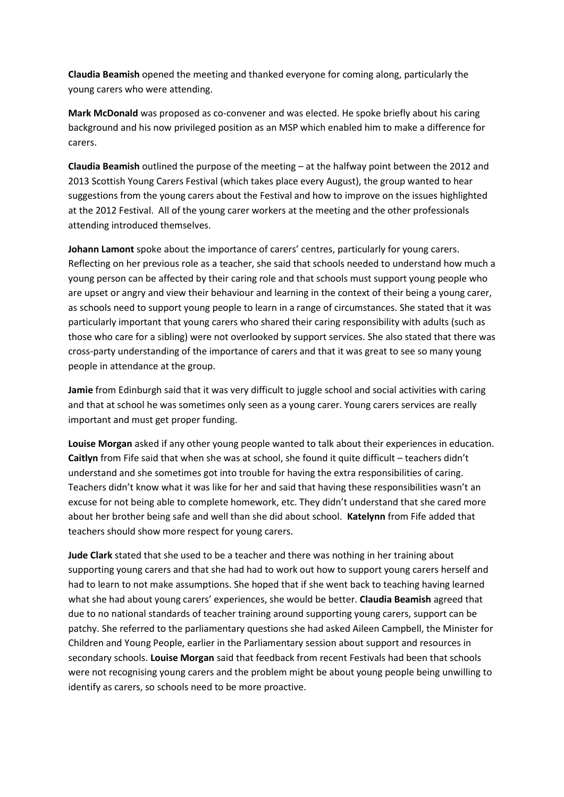**Claudia Beamish** opened the meeting and thanked everyone for coming along, particularly the young carers who were attending.

**Mark McDonald** was proposed as co-convener and was elected. He spoke briefly about his caring background and his now privileged position as an MSP which enabled him to make a difference for carers.

**Claudia Beamish** outlined the purpose of the meeting – at the halfway point between the 2012 and 2013 Scottish Young Carers Festival (which takes place every August), the group wanted to hear suggestions from the young carers about the Festival and how to improve on the issues highlighted at the 2012 Festival. All of the young carer workers at the meeting and the other professionals attending introduced themselves.

**Johann Lamont** spoke about the importance of carers' centres, particularly for young carers. Reflecting on her previous role as a teacher, she said that schools needed to understand how much a young person can be affected by their caring role and that schools must support young people who are upset or angry and view their behaviour and learning in the context of their being a young carer, as schools need to support young people to learn in a range of circumstances. She stated that it was particularly important that young carers who shared their caring responsibility with adults (such as those who care for a sibling) were not overlooked by support services. She also stated that there was cross-party understanding of the importance of carers and that it was great to see so many young people in attendance at the group.

**Jamie** from Edinburgh said that it was very difficult to juggle school and social activities with caring and that at school he was sometimes only seen as a young carer. Young carers services are really important and must get proper funding.

**Louise Morgan** asked if any other young people wanted to talk about their experiences in education. **Caitlyn** from Fife said that when she was at school, she found it quite difficult – teachers didn't understand and she sometimes got into trouble for having the extra responsibilities of caring. Teachers didn't know what it was like for her and said that having these responsibilities wasn't an excuse for not being able to complete homework, etc. They didn't understand that she cared more about her brother being safe and well than she did about school. **Katelynn** from Fife added that teachers should show more respect for young carers.

**Jude Clark** stated that she used to be a teacher and there was nothing in her training about supporting young carers and that she had had to work out how to support young carers herself and had to learn to not make assumptions. She hoped that if she went back to teaching having learned what she had about young carers' experiences, she would be better. **Claudia Beamish** agreed that due to no national standards of teacher training around supporting young carers, support can be patchy. She referred to the parliamentary questions she had asked Aileen Campbell, the Minister for Children and Young People, earlier in the Parliamentary session about support and resources in secondary schools. **Louise Morgan** said that feedback from recent Festivals had been that schools were not recognising young carers and the problem might be about young people being unwilling to identify as carers, so schools need to be more proactive.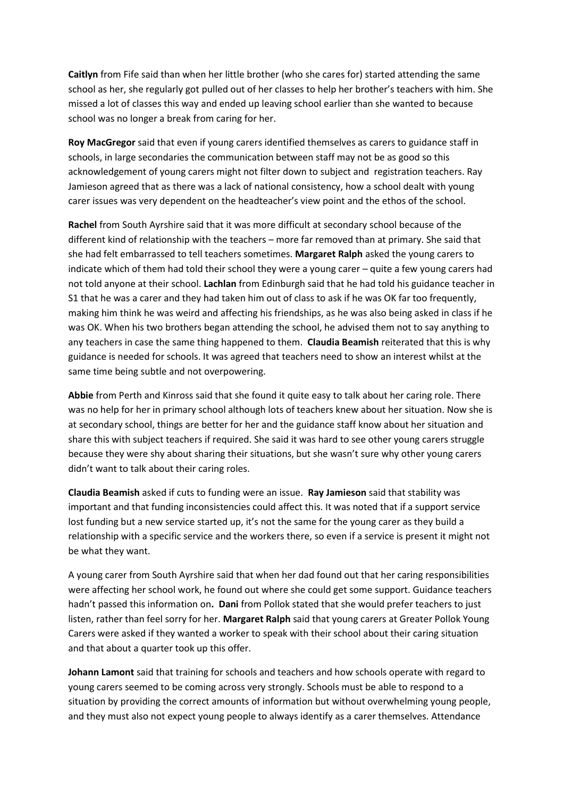**Caitlyn** from Fife said than when her little brother (who she cares for) started attending the same school as her, she regularly got pulled out of her classes to help her brother's teachers with him. She missed a lot of classes this way and ended up leaving school earlier than she wanted to because school was no longer a break from caring for her.

**Roy MacGregor** said that even if young carers identified themselves as carers to guidance staff in schools, in large secondaries the communication between staff may not be as good so this acknowledgement of young carers might not filter down to subject and registration teachers. Ray Jamieson agreed that as there was a lack of national consistency, how a school dealt with young carer issues was very dependent on the headteacher's view point and the ethos of the school.

**Rachel** from South Ayrshire said that it was more difficult at secondary school because of the different kind of relationship with the teachers – more far removed than at primary. She said that she had felt embarrassed to tell teachers sometimes. **Margaret Ralph** asked the young carers to indicate which of them had told their school they were a young carer – quite a few young carers had not told anyone at their school. **Lachlan** from Edinburgh said that he had told his guidance teacher in S1 that he was a carer and they had taken him out of class to ask if he was OK far too frequently, making him think he was weird and affecting his friendships, as he was also being asked in class if he was OK. When his two brothers began attending the school, he advised them not to say anything to any teachers in case the same thing happened to them. **Claudia Beamish** reiterated that this is why guidance is needed for schools. It was agreed that teachers need to show an interest whilst at the same time being subtle and not overpowering.

**Abbie** from Perth and Kinross said that she found it quite easy to talk about her caring role. There was no help for her in primary school although lots of teachers knew about her situation. Now she is at secondary school, things are better for her and the guidance staff know about her situation and share this with subject teachers if required. She said it was hard to see other young carers struggle because they were shy about sharing their situations, but she wasn't sure why other young carers didn't want to talk about their caring roles.

**Claudia Beamish** asked if cuts to funding were an issue. **Ray Jamieson** said that stability was important and that funding inconsistencies could affect this. It was noted that if a support service lost funding but a new service started up, it's not the same for the young carer as they build a relationship with a specific service and the workers there, so even if a service is present it might not be what they want.

A young carer from South Ayrshire said that when her dad found out that her caring responsibilities were affecting her school work, he found out where she could get some support. Guidance teachers hadn't passed this information on**. Dani** from Pollok stated that she would prefer teachers to just listen, rather than feel sorry for her. **Margaret Ralph** said that young carers at Greater Pollok Young Carers were asked if they wanted a worker to speak with their school about their caring situation and that about a quarter took up this offer.

**Johann Lamont** said that training for schools and teachers and how schools operate with regard to young carers seemed to be coming across very strongly. Schools must be able to respond to a situation by providing the correct amounts of information but without overwhelming young people, and they must also not expect young people to always identify as a carer themselves. Attendance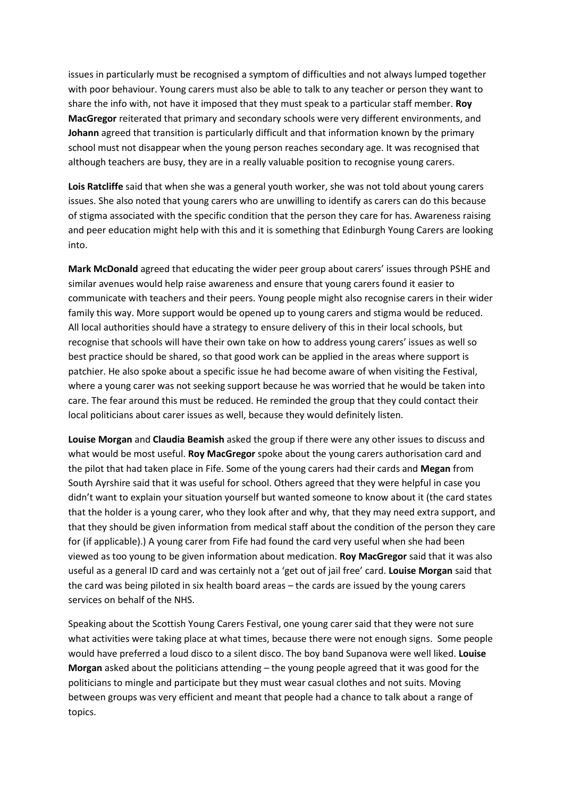issues in particularly must be recognised a symptom of difficulties and not always lumped together with poor behaviour. Young carers must also be able to talk to any teacher or person they want to share the info with, not have it imposed that they must speak to a particular staff member. **Roy MacGregor** reiterated that primary and secondary schools were very different environments, and **Johann** agreed that transition is particularly difficult and that information known by the primary school must not disappear when the young person reaches secondary age. It was recognised that although teachers are busy, they are in a really valuable position to recognise young carers.

**Lois Ratcliffe** said that when she was a general youth worker, she was not told about young carers issues. She also noted that young carers who are unwilling to identify as carers can do this because of stigma associated with the specific condition that the person they care for has. Awareness raising and peer education might help with this and it is something that Edinburgh Young Carers are looking into.

**Mark McDonald** agreed that educating the wider peer group about carers' issues through PSHE and similar avenues would help raise awareness and ensure that young carers found it easier to communicate with teachers and their peers. Young people might also recognise carers in their wider family this way. More support would be opened up to young carers and stigma would be reduced. All local authorities should have a strategy to ensure delivery of this in their local schools, but recognise that schools will have their own take on how to address young carers' issues as well so best practice should be shared, so that good work can be applied in the areas where support is patchier. He also spoke about a specific issue he had become aware of when visiting the Festival, where a young carer was not seeking support because he was worried that he would be taken into care. The fear around this must be reduced. He reminded the group that they could contact their local politicians about carer issues as well, because they would definitely listen.

**Louise Morgan** and **Claudia Beamish** asked the group if there were any other issues to discuss and what would be most useful. **Roy MacGregor** spoke about the young carers authorisation card and the pilot that had taken place in Fife. Some of the young carers had their cards and **Megan** from South Ayrshire said that it was useful for school. Others agreed that they were helpful in case you didn't want to explain your situation yourself but wanted someone to know about it (the card states that the holder is a young carer, who they look after and why, that they may need extra support, and that they should be given information from medical staff about the condition of the person they care for (if applicable).) A young carer from Fife had found the card very useful when she had been viewed as too young to be given information about medication. **Roy MacGregor** said that it was also useful as a general ID card and was certainly not a 'get out of jail free' card. **Louise Morgan** said that the card was being piloted in six health board areas – the cards are issued by the young carers services on behalf of the NHS.

Speaking about the Scottish Young Carers Festival, one young carer said that they were not sure what activities were taking place at what times, because there were not enough signs. Some people would have preferred a loud disco to a silent disco. The boy band Supanova were well liked. **Louise Morgan** asked about the politicians attending – the young people agreed that it was good for the politicians to mingle and participate but they must wear casual clothes and not suits. Moving between groups was very efficient and meant that people had a chance to talk about a range of topics.